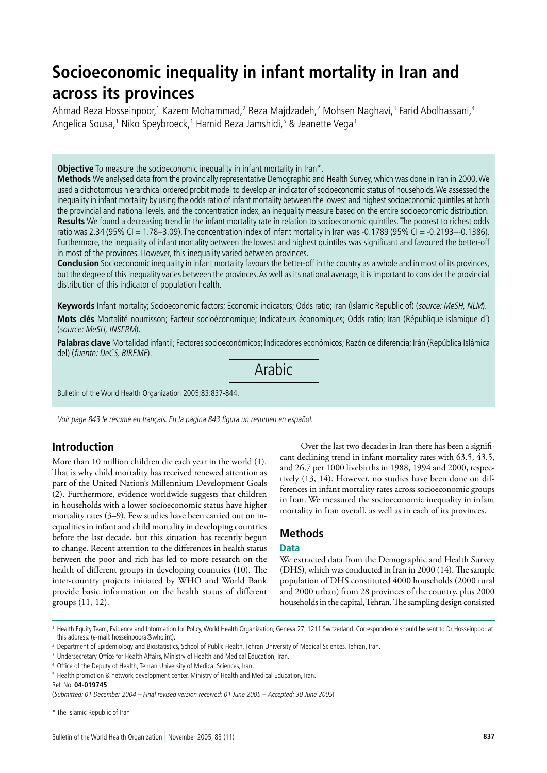# **Socioeconomic inequality in infant mortality in Iran and across its provinces**

Ahmad Reza Hosseinpoor,<sup>1</sup> Kazem Mohammad,<sup>2</sup> Reza Majdzadeh,<sup>2</sup> Mohsen Naghavi,<sup>3</sup> Farid Abolhassani,<sup>4</sup> Angelica Sousa,1 Niko Speybroeck,1 Hamid Reza Jamshidi,<sup>5</sup> & Jeanette Vega1

**Objective** To measure the socioeconomic inequality in infant mortality in Iran\*.

**Methods** We analysed data from the provincially representative Demographic and Health Survey, which was done in Iran in 2000. We used a dichotomous hierarchical ordered probit model to develop an indicator of socioeconomic status of households. We assessed the inequality in infant mortality by using the odds ratio of infant mortality between the lowest and highest socioeconomic quintiles at both the provincial and national levels, and the concentration index, an inequality measure based on the entire socioeconomic distribution. **Results** We found a decreasing trend in the infant mortality rate in relation to socioeconomic quintiles. The poorest to richest odds ratio was 2.34 (95% CI = 1.78–3.09). The concentration index of infant mortality in Iran was -0.1789 (95% CI = -0.2193–-0.1386). Furthermore, the inequality of infant mortality between the lowest and highest quintiles was significant and favoured the better-off in most of the provinces. However, this inequality varied between provinces.

**Conclusion** Socioeconomic inequality in infant mortality favours the better-off in the country as a whole and in most of its provinces, but the degree of this inequality varies between the provinces. As well as its national average, it is important to consider the provincial distribution of this indicator of population health.

**Keywords** Infant mortality; Socioeconomic factors; Economic indicators; Odds ratio; Iran (Islamic Republic of) (source: MeSH, NLM). **Mots clés** Mortalité nourrisson; Facteur socioéconomique; Indicateurs économiques; Odds ratio; Iran (République islamique d') (source: MeSH, INSERM).

**Palabras clave** Mortalidad infantil; Factores socioeconómicos; Indicadores económicos; Razón de diferencia; Irán (República Islámica del) (fuente: DeCS, BIREME).

Arabic

Bulletin of the World Health Organization 2005;83:837-844.

Voir page 843 le résumé en français. En la página 843 figura un resumen en español.

# **Introduction**

More than 10 million children die each year in the world (1). That is why child mortality has received renewed attention as part of the United Nation's Millennium Development Goals (2). Furthermore, evidence worldwide suggests that children in households with a lower socioeconomic status have higher mortality rates (3–9). Few studies have been carried out on inequalities in infant and child mortality in developing countries before the last decade, but this situation has recently begun to change. Recent attention to the differences in health status between the poor and rich has led to more research on the health of different groups in developing countries (10). The inter-country projects initiated by WHO and World Bank provide basic information on the health status of different groups (11, 12).

Over the last two decades in Iran there has been a significant declining trend in infant mortality rates with 63.5, 43.5, and 26.7 per 1000 livebirths in 1988, 1994 and 2000, respectively (13, 14). However, no studies have been done on differences in infant mortality rates across socioeconomic groups in Iran. We measured the socioeconomic inequality in infant mortality in Iran overall, as well as in each of its provinces.

# **Methods**

## **Data**

We extracted data from the Demographic and Health Survey (DHS), which was conducted in Iran in 2000 (14). The sample population of DHS constituted 4000 households (2000 rural and 2000 urban) from 28 provinces of the country, plus 2000 households in the capital, Tehran. The sampling design consisted

\* The Islamic Republic of Iran

<sup>&</sup>lt;sup>1</sup> Health Equity Team, Evidence and Information for Policy, World Health Organization, Geneva 27, 1211 Switzerland, Correspondence should be sent to Dr Hosseinpoor at this address: (e-mail: hosseinpoora@who.int).

<sup>&</sup>lt;sup>2</sup> Department of Epidemiology and Biostatistics, School of Public Health, Tehran University of Medical Sciences, Tehran, Iran.

<sup>&</sup>lt;sup>3</sup> Undersecretary Office for Health Affairs, Ministry of Health and Medical Education, Iran.

<sup>&</sup>lt;sup>4</sup> Office of the Deputy of Health, Tehran University of Medical Sciences, Iran.

<sup>&</sup>lt;sup>5</sup> Health promotion & network development center, Ministry of Health and Medical Education, Iran.

Ref. No. **04-019745**

<sup>(</sup>Submitted: 01 December 2004 – Final revised version received: 01 June 2005 – Accepted: 30 June 2005)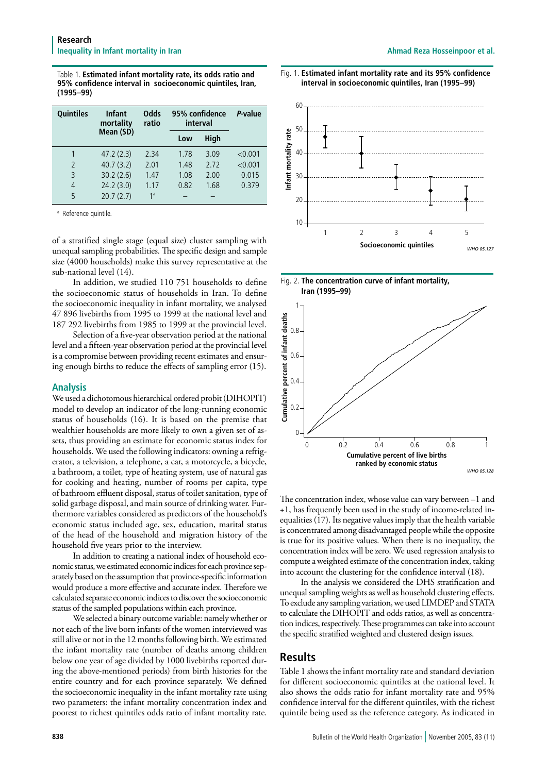Table 1. **Estimated infant mortality rate, its odds ratio and 95% confidence interval in socioeconomic quintiles, Iran, (1995–99)**

| <b>Quintiles</b> | <b>Infant</b><br>mortality | <b>Odds</b><br>ratio |      | 95% confidence<br>interval |         |  |
|------------------|----------------------------|----------------------|------|----------------------------|---------|--|
|                  | Mean (SD)                  |                      | Low  | High                       |         |  |
|                  | 47.2(2.3)                  | 2.34                 | 1.78 | 3.09                       | < 0.001 |  |
| $\overline{2}$   | 40.7(3.2)                  | 2.01                 | 1.48 | 2.72                       | < 0.001 |  |
| 3                | 30.2(2.6)                  | 1.47                 | 1.08 | 2.00                       | 0.015   |  |
| 4                | 24.2(3.0)                  | 1.17                 | 0.82 | 1.68                       | 0.379   |  |
| 5                | 20.7(2.7)                  | 1 <sup>a</sup>       |      |                            |         |  |

<sup>a</sup> Reference quintile.

of a stratified single stage (equal size) cluster sampling with unequal sampling probabilities. The specific design and sample size (4000 households) make this survey representative at the sub-national level (14).

In addition, we studied 110 751 households to define the socioeconomic status of households in Iran. To define the socioeconomic inequality in infant mortality, we analysed 47 896 livebirths from 1995 to 1999 at the national level and 187 292 livebirths from 1985 to 1999 at the provincial level.

Selection of a five-year observation period at the national level and a fifteen-year observation period at the provincial level is a compromise between providing recent estimates and ensuring enough births to reduce the effects of sampling error (15).

#### **Analysis**

We used a dichotomous hierarchical ordered probit (DIHOPIT) model to develop an indicator of the long-running economic status of households (16). It is based on the premise that wealthier households are more likely to own a given set of assets, thus providing an estimate for economic status index for households. We used the following indicators: owning a refrigerator, a television, a telephone, a car, a motorcycle, a bicycle, a bathroom, a toilet, type of heating system, use of natural gas for cooking and heating, number of rooms per capita, type of bathroom effluent disposal, status of toilet sanitation, type of solid garbage disposal, and main source of drinking water. Furthermore variables considered as predictors of the household's economic status included age, sex, education, marital status of the head of the household and migration history of the household five years prior to the interview.

In addition to creating a national index of household economic status, we estimated economic indices for each province separately based on the assumption that province-specific information would produce a more effective and accurate index. Therefore we calculated separate economic indices to discover the socioeconomic status of the sampled populations within each province.

We selected a binary outcome variable: namely whether or not each of the live born infants of the women interviewed was still alive or not in the 12 months following birth. We estimated the infant mortality rate (number of deaths among children below one year of age divided by 1000 livebirths reported during the above-mentioned periods) from birth histories for the entire country and for each province separately. We defined the socioeconomic inequality in the infant mortality rate using two parameters: the infant mortality concentration index and poorest to richest quintiles odds ratio of infant mortality rate.







*WHO 05.128*

The concentration index, whose value can vary between –1 and +1, has frequently been used in the study of income-related inequalities (17). Its negative values imply that the health variable is concentrated among disadvantaged people while the opposite is true for its positive values. When there is no inequality, the concentration index will be zero. We used regression analysis to compute a weighted estimate of the concentration index, taking into account the clustering for the confidence interval (18).

In the analysis we considered the DHS stratification and unequal sampling weights as well as household clustering effects. To exclude any sampling variation, we used LIMDEP and STATA to calculate the DIHOPIT and odds ratios, as well as concentration indices, respectively. These programmes can take into account the specific stratified weighted and clustered design issues.

## **Results**

Table 1 shows the infant mortality rate and standard deviation for different socioeconomic quintiles at the national level. It also shows the odds ratio for infant mortality rate and 95% confidence interval for the different quintiles, with the richest quintile being used as the reference category. As indicated in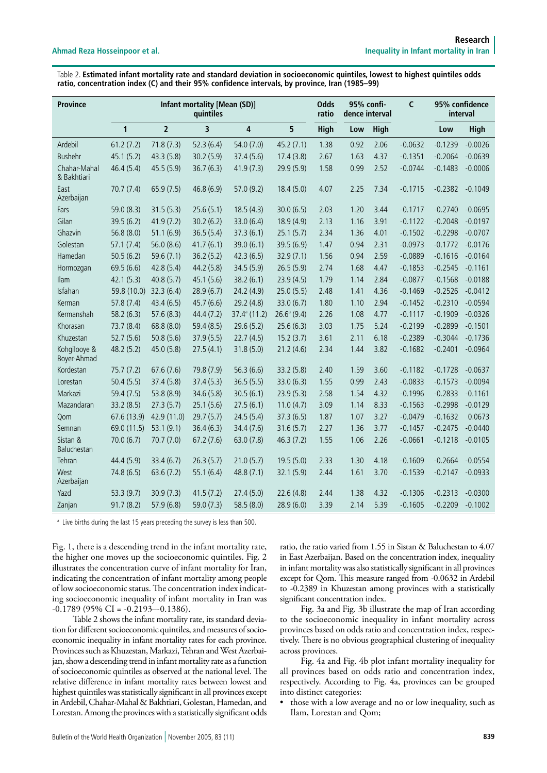Table 2. **Estimated infant mortality rate and standard deviation in socioeconomic quintiles, lowest to highest quintiles odds ratio, concentration index (C) and their 95% confidence intervals, by province, Iran (1985–99)**

| <b>Province</b>             | <b>Infant mortality [Mean (SD)]</b><br>quintiles |                |                | <b>Odds</b><br>ratio  | 95% confi-<br>dence interval |             | $\mathsf{C}$ | 95% confidence<br>interval |           |           |           |
|-----------------------------|--------------------------------------------------|----------------|----------------|-----------------------|------------------------------|-------------|--------------|----------------------------|-----------|-----------|-----------|
|                             | $\mathbf{1}$                                     | $\overline{2}$ | $\overline{3}$ | $\overline{4}$        | 5                            | <b>High</b> | Low          | High                       |           | Low       | High      |
| Ardebil                     | 61.2(7.2)                                        | 71.8(7.3)      | 52.3(6.4)      | 54.0(7.0)             | 45.2(7.1)                    | 1.38        | 0.92         | 2.06                       | $-0.0632$ | $-0.1239$ | $-0.0026$ |
| <b>Bushehr</b>              | 45.1(5.2)                                        | 43.3 (5.8)     | 30.2(5.9)      | 37.4(5.6)             | 17.4(3.8)                    | 2.67        | 1.63         | 4.37                       | $-0.1351$ | $-0.2064$ | $-0.0639$ |
| Chahar-Mahal<br>& Bakhtiari | 46.4 (5.4)                                       | 45.5(5.9)      | 36.7(6.3)      | 41.9(7.3)             | 29.9 (5.9)                   | 1.58        | 0.99         | 2.52                       | $-0.0744$ | $-0.1483$ | $-0.0006$ |
| East<br>Azerbaijan          | 70.7(7.4)                                        | 65.9(7.5)      | 46.8 (6.9)     | 57.0 (9.2)            | 18.4(5.0)                    | 4.07        | 2.25         | 7.34                       | $-0.1715$ | $-0.2382$ | $-0.1049$ |
| Fars                        | 59.0 (8.3)                                       | 31.5(5.3)      | 25.6(5.1)      | 18.5(4.3)             | 30.0(6.5)                    | 2.03        | 1.20         | 3.44                       | $-0.1717$ | $-0.2740$ | $-0.0695$ |
| Gilan                       | 39.5 (6.2)                                       | 41.9(7.2)      | 30.2(6.2)      | 33.0 (6.4)            | 18.9 (4.9)                   | 2.13        | 1.16         | 3.91                       | $-0.1122$ | $-0.2048$ | $-0.0197$ |
| Ghazvin                     | 56.8(8.0)                                        | 51.1(6.9)      | 36.5(5.4)      | 37.3(6.1)             | 25.1(5.7)                    | 2.34        | 1.36         | 4.01                       | $-0.1502$ | $-0.2298$ | $-0.0707$ |
| Golestan                    | 57.1(7.4)                                        | 56.0(8.6)      | 41.7(6.1)      | 39.0(6.1)             | 39.5 (6.9)                   | 1.47        | 0.94         | 2.31                       | $-0.0973$ | $-0.1772$ | $-0.0176$ |
| Hamedan                     | 50.5(6.2)                                        | 59.6(7.1)      | 36.2(5.2)      | 42.3(6.5)             | 32.9(7.1)                    | 1.56        | 0.94         | 2.59                       | $-0.0889$ | $-0.1616$ | $-0.0164$ |
| Hormozgan                   | 69.5 (6.6)                                       | 42.8(5.4)      | 44.2 (5.8)     | 34.5(5.9)             | 26.5(5.9)                    | 2.74        | 1.68         | 4.47                       | $-0.1853$ | $-0.2545$ | $-0.1161$ |
| <b>Ilam</b>                 | 42.1(5.3)                                        | 40.8(5.7)      | 45.1(5.6)      | 38.2(6.1)             | 23.9(4.5)                    | 1.79        | 1.14         | 2.84                       | $-0.0877$ | $-0.1568$ | $-0.0188$ |
| Isfahan                     | 59.8 (10.0)                                      | 32.3(6.4)      | 28.9(6.7)      | 24.2(4.9)             | 25.0(5.5)                    | 2.48        | 1.41         | 4.36                       | $-0.1469$ | $-0.2526$ | $-0.0412$ |
| Kerman                      | 57.8(7.4)                                        | 43.4(6.5)      | 45.7(6.6)      | 29.2 (4.8)            | 33.0(6.7)                    | 1.80        | 1.10         | 2.94                       | $-0.1452$ | $-0.2310$ | $-0.0594$ |
| Kermanshah                  | 58.2(6.3)                                        | 57.6(8.3)      | 44.4 (7.2)     | $37.4^{\circ}$ (11.2) | $26.6^{\circ}$ (9.4)         | 2.26        | 1.08         | 4.77                       | $-0.1117$ | $-0.1909$ | $-0.0326$ |
| Khorasan                    | 73.7 (8.4)                                       | 68.8 (8.0)     | 59.4 (8.5)     | 29.6(5.2)             | 25.6(6.3)                    | 3.03        | 1.75         | 5.24                       | $-0.2199$ | $-0.2899$ | $-0.1501$ |
| Khuzestan                   | 52.7(5.6)                                        | 50.8(5.6)      | 37.9(5.5)      | 22.7(4.5)             | 15.2(3.7)                    | 3.61        | 2.11         | 6.18                       | $-0.2389$ | $-0.3044$ | $-0.1736$ |
| Kohgilooye &<br>Boyer-Ahmad | 48.2(5.2)                                        | 45.0 (5.8)     | 27.5(4.1)      | 31.8(5.0)             | 21.2(4.6)                    | 2.34        | 1.44         | 3.82                       | $-0.1682$ | $-0.2401$ | $-0.0964$ |
| Kordestan                   | 75.7(7.2)                                        | 67.6(7.6)      | 79.8 (7.9)     | 56.3(6.6)             | 33.2(5.8)                    | 2.40        | 1.59         | 3.60                       | $-0.1182$ | $-0.1728$ | $-0.0637$ |
| Lorestan                    | 50.4(5.5)                                        | 37.4 (5.8)     | 37.4(5.3)      | 36.5(5.5)             | 33.0(6.3)                    | 1.55        | 0.99         | 2.43                       | $-0.0833$ | $-0.1573$ | $-0.0094$ |
| Markazi                     | 59.4 (7.5)                                       | 53.8 (8.9)     | 34.6 (5.8)     | 30.5(6.1)             | 23.9(5.3)                    | 2.58        | 1.54         | 4.32                       | $-0.1996$ | $-0.2833$ | $-0.1161$ |
| Mazandaran                  | 33.2(8.5)                                        | 27.3(5.7)      | 25.1(5.6)      | 27.5(6.1)             | 11.0(4.7)                    | 3.09        | 1.14         | 8.33                       | $-0.1563$ | $-0.2998$ | $-0.0129$ |
| <b>Oom</b>                  | 67.6 (13.9)                                      | 42.9 (11.0)    | 29.7(5.7)      | 24.5(5.4)             | 37.3(6.5)                    | 1.87        | 1.07         | 3.27                       | $-0.0479$ | $-0.1632$ | 0.0673    |
| Semnan                      | 69.0 (11.5)                                      | 53.1(9.1)      | 36.4(6.3)      | 34.4 (7.6)            | 31.6(5.7)                    | 2.27        | 1.36         | 3.77                       | $-0.1457$ | $-0.2475$ | $-0.0440$ |
| Sistan &<br>Baluchestan     | 70.0(6.7)                                        | 70.7 (7.0)     | 67.2(7.6)      | 63.0(7.8)             | 46.3(7.2)                    | 1.55        | 1.06         | 2.26                       | $-0.0661$ | $-0.1218$ | $-0.0105$ |
| Tehran                      | 44.4 (5.9)                                       | 33.4(6.7)      | 26.3(5.7)      | 21.0(5.7)             | 19.5(5.0)                    | 2.33        | 1.30         | 4.18                       | $-0.1609$ | $-0.2664$ | $-0.0554$ |
| West<br>Azerbaijan          | 74.8(6.5)                                        | 63.6(7.2)      | 55.1(6.4)      | 48.8(7.1)             | 32.1(5.9)                    | 2.44        | 1.61         | 3.70                       | $-0.1539$ | $-0.2147$ | $-0.0933$ |
| Yazd                        | 53.3 (9.7)                                       | 30.9(7.3)      | 41.5(7.2)      | 27.4(5.0)             | 22.6(4.8)                    | 2.44        | 1.38         | 4.32                       | $-0.1306$ | $-0.2313$ | $-0.0300$ |
| Zanjan                      | 91.7(8.2)                                        | 57.9 (6.8)     | 59.0 (7.3)     | 58.5(8.0)             | 28.9 (6.0)                   | 3.39        | 2.14         | 5.39                       | $-0.1605$ | $-0.2209$ | $-0.1002$ |

<sup>a</sup> Live births during the last 15 years preceding the survey is less than 500.

Fig. 1, there is a descending trend in the infant mortality rate, the higher one moves up the socioeconomic quintiles. Fig. 2 illustrates the concentration curve of infant mortality for Iran, indicating the concentration of infant mortality among people of low socioeconomic status. The concentration index indicating socioeconomic inequality of infant mortality in Iran was  $-0.1789$  (95% CI =  $-0.2193 - 0.1386$ ).

Table 2 shows the infant mortality rate, its standard deviation for different socioeconomic quintiles, and measures of socioeconomic inequality in infant mortality rates for each province. Provinces such as Khuzestan, Markazi, Tehran and West Azerbaijan, show a descending trend in infant mortality rate as a function of socioeconomic quintiles as observed at the national level. The relative difference in infant mortality rates between lowest and highest quintiles was statistically significant in all provinces except in Ardebil, Chahar-Mahal & Bakhtiari, Golestan, Hamedan, and Lorestan. Among the provinces with a statistically significant odds ratio, the ratio varied from 1.55 in Sistan & Baluchestan to 4.07 in East Azerbaijan. Based on the concentration index, inequality in infant mortality was also statistically significant in all provinces except for Qom. This measure ranged from -0.0632 in Ardebil to -0.2389 in Khuzestan among provinces with a statistically significant concentration index.

Fig. 3a and Fig. 3b illustrate the map of Iran according to the socioeconomic inequality in infant mortality across provinces based on odds ratio and concentration index, respectively. There is no obvious geographical clustering of inequality across provinces.

Fig. 4a and Fig. 4b plot infant mortality inequality for all provinces based on odds ratio and concentration index, respectively. According to Fig. 4a, provinces can be grouped into distinct categories:

• those with a low average and no or low inequality, such as Ilam, Lorestan and Qom;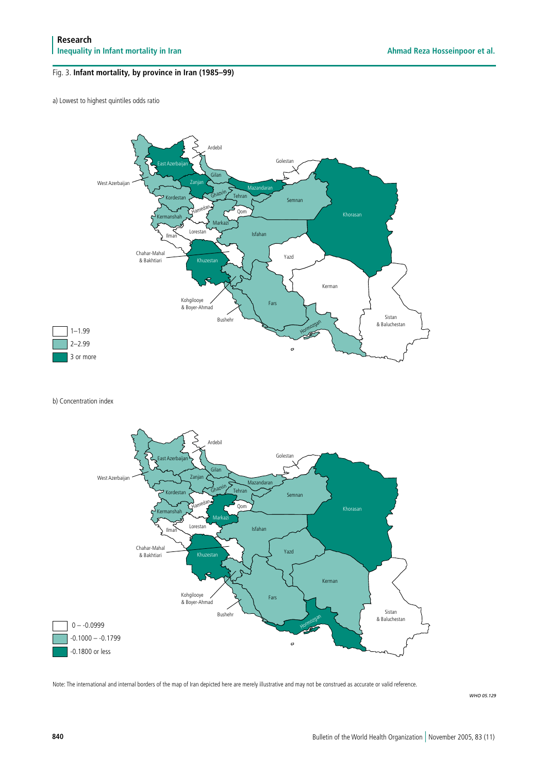## Fig. 3. **Infant mortality, by province in Iran (1985–99)**

a) Lowest to highest quintiles odds ratio



b) Concentration index



Note: The international and internal borders of the map of Iran depicted here are merely illustrative and may not be construed as accurate or valid reference.

*WHO 05.129*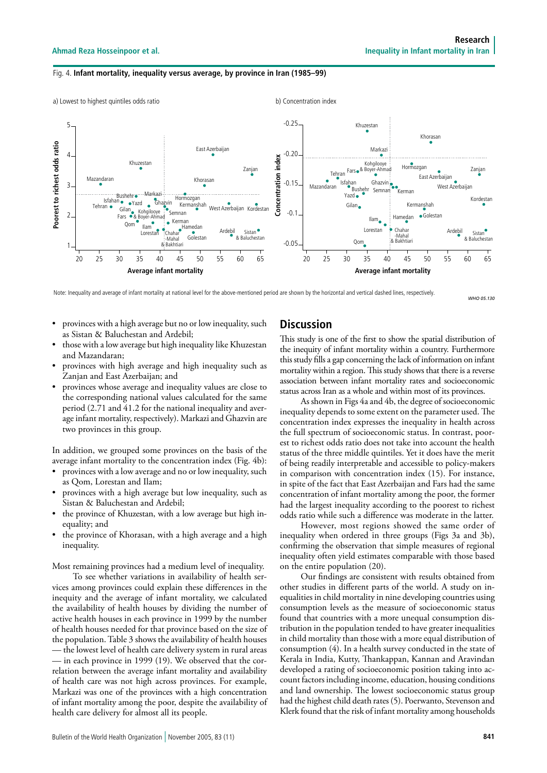#### Fig. 4. **Infant mortality, inequality versus average, by province in Iran (1985–99)**



Note: Inequality and average of infant mortality at national level for the above-mentioned period are shown by the horizontal and vertical dashed lines, respectively.

*WHO 05.130*

- provinces with a high average but no or low inequality, such as Sistan & Baluchestan and Ardebil;
- those with a low average but high inequality like Khuzestan and Mazandaran;
- provinces with high average and high inequality such as Zanjan and East Azerbaijan; and
- provinces whose average and inequality values are close to the corresponding national values calculated for the same period (2.71 and 41.2 for the national inequality and average infant mortality, respectively). Markazi and Ghazvin are two provinces in this group.

In addition, we grouped some provinces on the basis of the average infant mortality to the concentration index (Fig. 4b):

- provinces with a low average and no or low inequality, such as Qom, Lorestan and Ilam;
- provinces with a high average but low inequality, such as Sistan & Baluchestan and Ardebil;
- the province of Khuzestan, with a low average but high inequality; and
- the province of Khorasan, with a high average and a high inequality.

Most remaining provinces had a medium level of inequality. To see whether variations in availability of health ser-

vices among provinces could explain these differences in the inequity and the average of infant mortality, we calculated the availability of health houses by dividing the number of active health houses in each province in 1999 by the number of health houses needed for that province based on the size of the population. Table 3 shows the availability of health houses — the lowest level of health care delivery system in rural areas — in each province in 1999 (19). We observed that the correlation between the average infant mortality and availability of health care was not high across provinces. For example, Markazi was one of the provinces with a high concentration of infant mortality among the poor, despite the availability of health care delivery for almost all its people.

## **Discussion**

This study is one of the first to show the spatial distribution of the inequity of infant mortality within a country. Furthermore this study fills a gap concerning the lack of information on infant mortality within a region. This study shows that there is a reverse association between infant mortality rates and socioeconomic status across Iran as a whole and within most of its provinces.

As shown in Figs 4a and 4b, the degree of socioeconomic inequality depends to some extent on the parameter used. The concentration index expresses the inequality in health across the full spectrum of socioeconomic status. In contrast, poorest to richest odds ratio does not take into account the health status of the three middle quintiles. Yet it does have the merit of being readily interpretable and accessible to policy-makers in comparison with concentration index (15). For instance, in spite of the fact that East Azerbaijan and Fars had the same concentration of infant mortality among the poor, the former had the largest inequality according to the poorest to richest odds ratio while such a difference was moderate in the latter.

However, most regions showed the same order of inequality when ordered in three groups (Figs 3a and 3b), confirming the observation that simple measures of regional inequality often yield estimates comparable with those based on the entire population (20).

Our findings are consistent with results obtained from other studies in different parts of the world. A study on inequalities in child mortality in nine developing countries using consumption levels as the measure of socioeconomic status found that countries with a more unequal consumption distribution in the population tended to have greater inequalities in child mortality than those with a more equal distribution of consumption (4). In a health survey conducted in the state of Kerala in India, Kutty, Thankappan, Kannan and Aravindan developed a rating of socioeconomic position taking into account factors including income, education, housing conditions and land ownership. The lowest socioeconomic status group had the highest child death rates (5). Poerwanto, Stevenson and Klerk found that the risk of infant mortality among households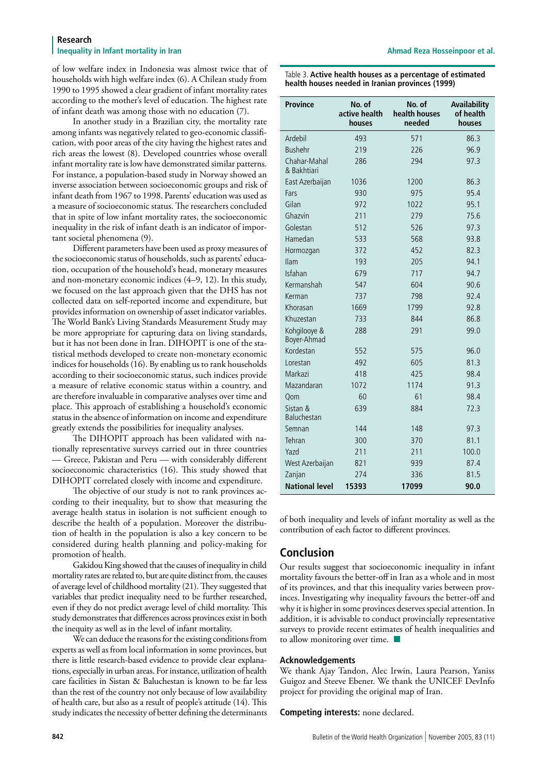#### **Research Inequality in Infant mortality in Iran Ahmad Reza Hosseinpoor et al. Ahmad Reza Hosseinpoor et al. A**

of low welfare index in Indonesia was almost twice that of households with high welfare index (6). A Chilean study from 1990 to 1995 showed a clear gradient of infant mortality rates according to the mother's level of education. The highest rate of infant death was among those with no education (7).

In another study in a Brazilian city, the mortality rate among infants was negatively related to geo-economic classification, with poor areas of the city having the highest rates and rich areas the lowest (8). Developed countries whose overall infant mortality rate is low have demonstrated similar patterns. For instance, a population-based study in Norway showed an inverse association between socioeconomic groups and risk of infant death from 1967 to 1998. Parents' education was used as a measure of socioeconomic status. The researchers concluded that in spite of low infant mortality rates, the socioeconomic inequality in the risk of infant death is an indicator of important societal phenomena (9).

Different parameters have been used as proxy measures of the socioeconomic status of households, such as parents' education, occupation of the household's head, monetary measures and non-monetary economic indices (4–9, 12). In this study, we focused on the last approach given that the DHS has not collected data on self-reported income and expenditure, but provides information on ownership of asset indicator variables. The World Bank's Living Standards Measurement Study may be more appropriate for capturing data on living standards, but it has not been done in Iran. DIHOPIT is one of the statistical methods developed to create non-monetary economic indices for households (16). By enabling us to rank households according to their socioeconomic status, such indices provide a measure of relative economic status within a country, and are therefore invaluable in comparative analyses over time and place. This approach of establishing a household's economic status in the absence of information on income and expenditure greatly extends the possibilities for inequality analyses.

The DIHOPIT approach has been validated with nationally representative surveys carried out in three countries — Greece, Pakistan and Peru — with considerably different socioeconomic characteristics (16). This study showed that DIHOPIT correlated closely with income and expenditure.

The objective of our study is not to rank provinces according to their inequality, but to show that measuring the average health status in isolation is not sufficient enough to describe the health of a population. Moreover the distribution of health in the population is also a key concern to be considered during health planning and policy-making for promotion of health.

Gakidou King showed that the causes of inequality in child mortality rates are related to, but are quite distinct from, the causes of average level of childhood mortality (21). They suggested that variables that predict inequality need to be further researched, even if they do not predict average level of child mortality. This study demonstrates that differences across provinces exist in both the inequity as well as in the level of infant mortality.

We can deduce the reasons for the existing conditions from experts as well as from local information in some provinces, but there is little research-based evidence to provide clear explanations, especially in urban areas. For instance, utilization of health care facilities in Sistan & Baluchestan is known to be far less than the rest of the country not only because of low availability of health care, but also as a result of people's attitude (14). This study indicates the necessity of better defining the determinants Table 3. **Active health houses as a percentage of estimated health houses needed in Iranian provinces (1999)**

| <b>Province</b>             | No. of<br>active health<br>houses | No. of<br>health houses<br>needed | Availability<br>of health<br>houses |
|-----------------------------|-----------------------------------|-----------------------------------|-------------------------------------|
| Ardebil                     | 493                               | 571                               | 86.3                                |
| <b>Bushehr</b>              | 219                               | 226                               | 96.9                                |
| Chahar-Mahal<br>& Bakhtiari | 286                               | 294                               | 97.3                                |
| East Azerbaijan             | 1036                              | 1200                              | 86.3                                |
| Fars                        | 930                               | 975                               | 95.4                                |
| Gilan                       | 972                               | 1022                              | 95.1                                |
| Ghazvin                     | 211                               | 279                               | 75.6                                |
| Golestan                    | 512                               | 526                               | 97.3                                |
| Hamedan                     | 533                               | 568                               | 93.8                                |
| Hormozgan                   | 372                               | 452                               | 82.3                                |
| <b>Ilam</b>                 | 193                               | 205                               | 94.1                                |
| Isfahan                     | 679                               | 717                               | 94.7                                |
| Kermanshah                  | 547                               | 604                               | 90.6                                |
| Kerman                      | 737                               | 798                               | 92.4                                |
| Khorasan                    | 1669                              | 1799                              | 92.8                                |
| Khuzestan                   | 733                               | 844                               | 86.8                                |
| Kohgilooye &<br>Boyer-Ahmad | 288                               | 291                               | 99.0                                |
| Kordestan                   | 552                               | 575                               | 96.0                                |
| Lorestan                    | 492                               | 605                               | 81.3                                |
| Markazi                     | 418                               | 425                               | 98.4                                |
| Mazandaran                  | 1072                              | 1174                              | 91.3                                |
| Qom                         | 60                                | 61                                | 98.4                                |
| Sistan &<br>Baluchestan     | 639                               | 884                               | 72.3                                |
| Semnan                      | 144                               | 148                               | 97.3                                |
| Tehran                      | 300                               | 370                               | 81.1                                |
| Yazd                        | 211                               | 211                               | 100.0                               |
| West Azerbaijan             | 821                               | 939                               | 87.4                                |
| Zanjan                      | 274                               | 336                               | 81.5                                |
| <b>National level</b>       | 15393                             | 17099                             | 90.0                                |

of both inequality and levels of infant mortality as well as the contribution of each factor to different provinces.

# **Conclusion**

Our results suggest that socioeconomic inequality in infant mortality favours the better-off in Iran as a whole and in most of its provinces, and that this inequality varies between provinces. Investigating why inequality favours the better-off and why it is higher in some provinces deserves special attention. In addition, it is advisable to conduct provincially representative surveys to provide recent estimates of health inequalities and to allow monitoring over time.  $\blacksquare$ 

## **Acknowledgements**

We thank Ajay Tandon, Alec Irwin, Laura Pearson, Yaniss Guigoz and Steeve Ebener. We thank the UNICEF DevInfo project for providing the original map of Iran.

#### **Competing interests:** none declared.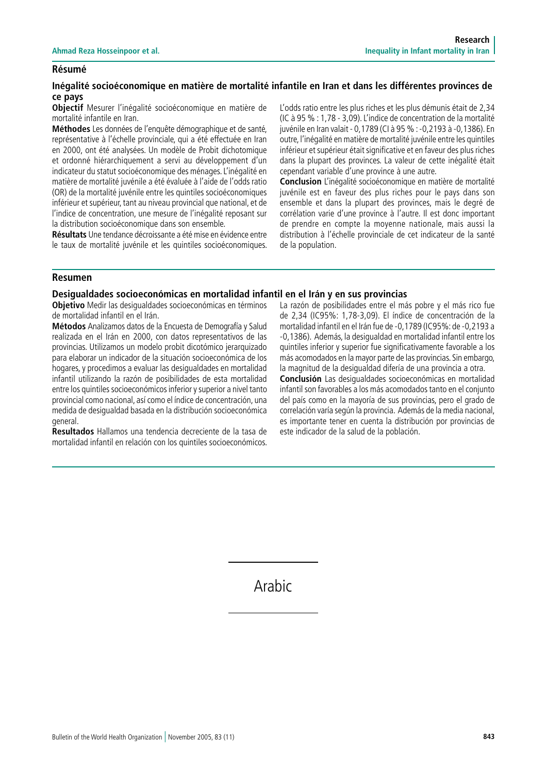## **Résumé**

## **Inégalité socioéconomique en matière de mortalité infantile en Iran et dans les différentes provinces de ce pays**

**Objectif** Mesurer l'inégalité socioéconomique en matière de mortalité infantile en Iran.

**Méthodes** Les données de l'enquête démographique et de santé, représentative à l'échelle provinciale, qui a été effectuée en Iran en 2000, ont été analysées. Un modèle de Probit dichotomique et ordonné hiérarchiquement a servi au développement d'un indicateur du statut socioéconomique des ménages. L'inégalité en matière de mortalité juvénile a été évaluée à l'aide de l'odds ratio (OR) de la mortalité juvénile entre les quintiles socioéconomiques inférieur et supérieur, tant au niveau provincial que national, et de l'indice de concentration, une mesure de l'inégalité reposant sur la distribution socioéconomique dans son ensemble.

**Résultats** Une tendance décroissante a été mise en évidence entre le taux de mortalité juvénile et les quintiles socioéconomiques. L'odds ratio entre les plus riches et les plus démunis était de 2,34 (IC à 95 % : 1,78 - 3,09). L'indice de concentration de la mortalité juvénile en Iran valait - 0,1789 (CI à 95 % : -0,2193 à -0,1386). En outre, l'inégalité en matière de mortalité juvénile entre les quintiles inférieur et supérieur était significative et en faveur des plus riches dans la plupart des provinces. La valeur de cette inégalité était cependant variable d'une province à une autre.

**Conclusion** L'inégalité socioéconomique en matière de mortalité juvénile est en faveur des plus riches pour le pays dans son ensemble et dans la plupart des provinces, mais le degré de corrélation varie d'une province à l'autre. Il est donc important de prendre en compte la moyenne nationale, mais aussi la distribution à l'échelle provinciale de cet indicateur de la santé de la population.

## **Resumen**

## **Desigualdades socioeconómicas en mortalidad infantil en el Irán y en sus provincias**

**Objetivo** Medir las desigualdades socioeconómicas en términos de mortalidad infantil en el Irán.

**Métodos** Analizamos datos de la Encuesta de Demografía y Salud realizada en el Irán en 2000, con datos representativos de las provincias. Utilizamos un modelo probit dicotómico jerarquizado para elaborar un indicador de la situación socioeconómica de los hogares, y procedimos a evaluar las desigualdades en mortalidad infantil utilizando la razón de posibilidades de esta mortalidad entre los quintiles socioeconómicos inferior y superior a nivel tanto provincial como nacional, así como el índice de concentración, una medida de desigualdad basada en la distribución socioeconómica general.

**Resultados** Hallamos una tendencia decreciente de la tasa de mortalidad infantil en relación con los quintiles socioeconómicos. La razón de posibilidades entre el más pobre y el más rico fue de 2,34 (IC95%: 1,78-3,09). El índice de concentración de la mortalidad infantil en el Irán fue de -0,1789 (IC95%: de -0,2193 a -0,1386). Además, la desigualdad en mortalidad infantil entre los quintiles inferior y superior fue significativamente favorable a los más acomodados en la mayor parte de las provincias. Sin embargo, la magnitud de la desigualdad difería de una provincia a otra.

**Conclusión** Las desigualdades socioeconómicas en mortalidad infantil son favorables a los más acomodados tanto en el conjunto del país como en la mayoría de sus provincias, pero el grado de correlación varía según la provincia. Además de la media nacional, es importante tener en cuenta la distribución por provincias de este indicador de la salud de la población.

Arabic